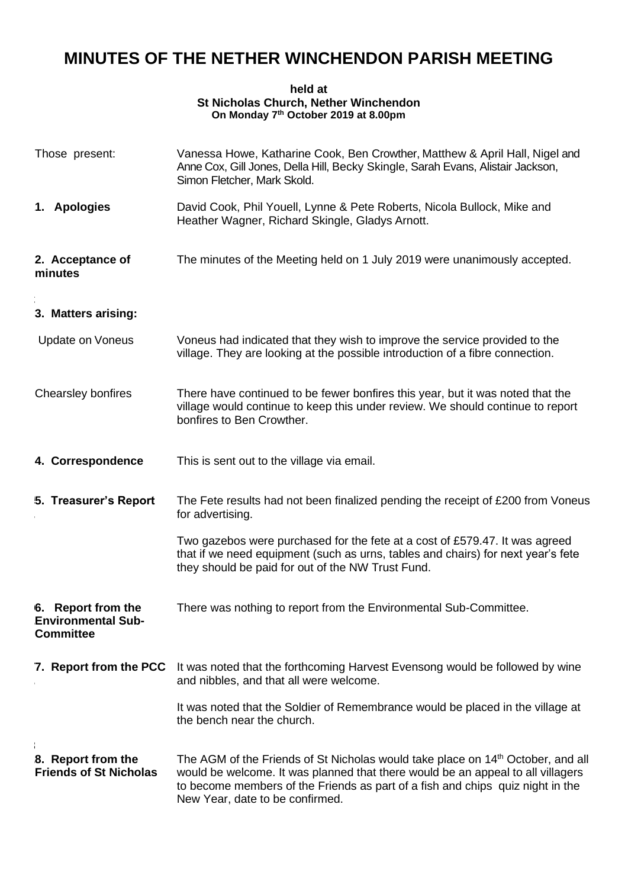## **MINUTES OF THE NETHER WINCHENDON PARISH MEETING**

## **held at St Nicholas Church, Nether Winchendon On Monday 7th October 2019 at 8.00pm**

| Those present:                                                      | Vanessa Howe, Katharine Cook, Ben Crowther, Matthew & April Hall, Nigel and<br>Anne Cox, Gill Jones, Della Hill, Becky Skingle, Sarah Evans, Alistair Jackson,<br>Simon Fletcher, Mark Skold.                                                                                                       |
|---------------------------------------------------------------------|-----------------------------------------------------------------------------------------------------------------------------------------------------------------------------------------------------------------------------------------------------------------------------------------------------|
| 1. Apologies                                                        | David Cook, Phil Youell, Lynne & Pete Roberts, Nicola Bullock, Mike and<br>Heather Wagner, Richard Skingle, Gladys Arnott.                                                                                                                                                                          |
| 2. Acceptance of<br>minutes                                         | The minutes of the Meeting held on 1 July 2019 were unanimously accepted.                                                                                                                                                                                                                           |
| 3. Matters arising:                                                 |                                                                                                                                                                                                                                                                                                     |
| <b>Update on Voneus</b>                                             | Voneus had indicated that they wish to improve the service provided to the<br>village. They are looking at the possible introduction of a fibre connection.                                                                                                                                         |
| Chearsley bonfires                                                  | There have continued to be fewer bonfires this year, but it was noted that the<br>village would continue to keep this under review. We should continue to report<br>bonfires to Ben Crowther.                                                                                                       |
| 4. Correspondence                                                   | This is sent out to the village via email.                                                                                                                                                                                                                                                          |
| 5. Treasurer's Report                                               | The Fete results had not been finalized pending the receipt of £200 from Voneus<br>for advertising.                                                                                                                                                                                                 |
|                                                                     | Two gazebos were purchased for the fete at a cost of £579.47. It was agreed<br>that if we need equipment (such as urns, tables and chairs) for next year's fete<br>they should be paid for out of the NW Trust Fund.                                                                                |
| 6. Report from the<br><b>Environmental Sub-</b><br><b>Committee</b> | There was nothing to report from the Environmental Sub-Committee.                                                                                                                                                                                                                                   |
| 7. Report from the PCC                                              | It was noted that the forthcoming Harvest Evensong would be followed by wine<br>and nibbles, and that all were welcome.                                                                                                                                                                             |
|                                                                     | It was noted that the Soldier of Remembrance would be placed in the village at<br>the bench near the church.                                                                                                                                                                                        |
| 8. Report from the<br><b>Friends of St Nicholas</b>                 | The AGM of the Friends of St Nicholas would take place on 14 <sup>th</sup> October, and all<br>would be welcome. It was planned that there would be an appeal to all villagers<br>to become members of the Friends as part of a fish and chips quiz night in the<br>New Year, date to be confirmed. |